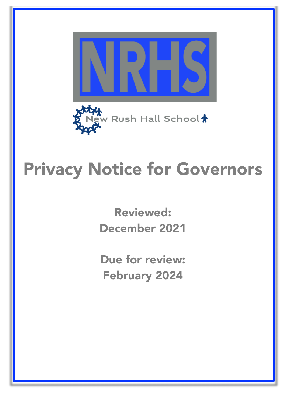

# Privacy Notice for Governors

Reviewed: December 2021

Due for review: February 2024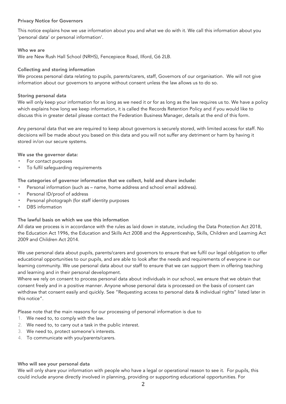## Privacy Notice for Governors

This notice explains how we use information about you and what we do with it. We call this information about you 'personal data' or personal information'.

## Who we are

We are New Rush Hall School (NRHS), Fencepiece Road, Ilford, G6 2LB.

## Collecting and storing information

We process personal data relating to pupils, parents/carers, staff, Governors of our organisation. We will not give information about our governors to anyone without consent unless the law allows us to do so.

## Storing personal data

We will only keep your information for as long as we need it or for as long as the law requires us to. We have a policy which explains how long we keep information, it is called the Records Retention Policy and if you would like to discuss this in greater detail please contact the Federation Business Manager, details at the end of this form.

Any personal data that we are required to keep about governors is securely stored, with limited access for staff. No decisions will be made about you based on this data and you will not suffer any detriment or harm by having it stored in/on our secure systems.

We use the governor data:

- For contact purposes
- To fulfil safeguarding requirements

The categories of governor information that we collect, hold and share include:

- Personal information (such as name, home address and school email address).
- Personal ID/proof of address
- Personal photograph (for staff identity purposes
- DBS information

#### The lawful basis on which we use this information

All data we process is in accordance with the rules as laid down in statute, including the Data Protection Act 2018, the Education Act 1996, the Education and Skills Act 2008 and the Apprenticeship, Skills, Children and Learning Act 2009 and Children Act 2014.

We use personal data about pupils, parents/carers and governors to ensure that we fulfil our legal obligation to offer educational opportunities to our pupils, and are able to look after the needs and requirements of everyone in our learning community. We use personal data about our staff to ensure that we can support them in offering teaching and learning and in their personal development.

Where we rely on consent to process personal data about individuals in our school, we ensure that we obtain that consent freely and in a positive manner. Anyone whose personal data is processed on the basis of consent can withdraw that consent easily and quickly. See "Requesting access to personal data & individual rights" listed later in this notice".

Please note that the main reasons for our processing of personal information is due to

- 1. We need to, to comply with the law.
- 2. We need to, to carry out a task in the public interest.
- 3. We need to, protect someone's interests.
- 4. To communicate with you/parents/carers.

#### Who will see your personal data

We will only share your information with people who have a legal or operational reason to see it. For pupils, this could include anyone directly involved in planning, providing or supporting educational opportunities. For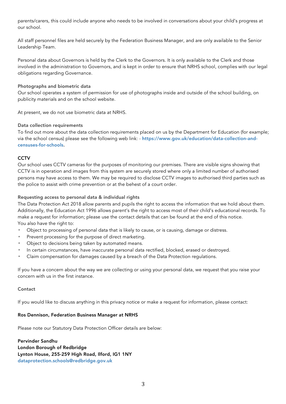parents/carers, this could include anyone who needs to be involved in conversations about your child's progress at our school.

All staff personnel files are held securely by the Federation Business Manager, and are only available to the Senior Leadership Team.

Personal data about Governors is held by the Clerk to the Governors. It is only available to the Clerk and those involved in the administration to Governors, and is kept in order to ensure that NRHS school, complies with our legal obligations regarding Governance.

#### Photographs and biometric data

Our school operates a system of permission for use of photographs inside and outside of the school building, on publicity materials and on the school website.

At present, we do not use biometric data at NRHS.

## Data collection requirements

To find out more about the data collection requirements placed on us by the Department for Education (for example; via the school census) please see the following web link: - https://www.gov.uk/education/data-collection-andcensuses-for-schools.

## CCTV

Our school uses CCTV cameras for the purposes of monitoring our premises. There are visible signs showing that CCTV is in operation and images from this system are securely stored where only a limited number of authorised persons may have access to them. We may be required to disclose CCTV images to authorised third parties such as the police to assist with crime prevention or at the behest of a court order.

## Requesting access to personal data & individual rights

The Data Protection Act 2018 allow parents and pupils the right to access the information that we hold about them. Additionally, the Education Act 1996 allows parent's the right to access most of their child's educational records. To make a request for information; please use the contact details that can be found at the end of this notice. You also have the right to:

- Object to processing of personal data that is likely to cause, or is causing, damage or distress.
- Prevent processing for the purpose of direct marketing.
- Object to decisions being taken by automated means.
- In certain circumstances, have inaccurate personal data rectified, blocked, erased or destroyed.
- Claim compensation for damages caused by a breach of the Data Protection regulations.

If you have a concern about the way we are collecting or using your personal data, we request that you raise your concern with us in the first instance.

#### Contact

If you would like to discuss anything in this privacy notice or make a request for information, please contact:

#### Ros Dennison, Federation Business Manager at NRHS

Please note our Statutory Data Protection Officer details are below:

Pervinder Sandhu London Borough of Redbridge Lynton House, 255-259 High Road, Ilford, IG1 1NY dataprotection.schools@redbridge.gov.uk